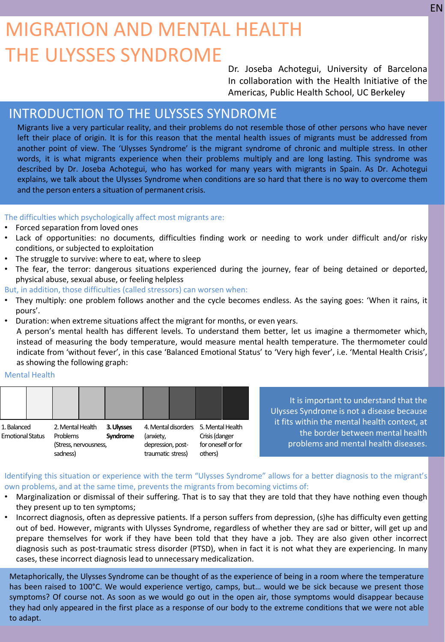# MIGRATION AND MENTAL HEALTH THE ULYSSES SYNDROME

Dr. Joseba Achotegui, University of Barcelona In collaboration with the Health Initiative of the Americas, Public Health School, UC Berkeley

## INTRODUCTION TO THE ULYSSES SYNDROME

Migrants live a very particular reality, and their problems do not resemble those of other persons who have never left their place of origin. It is for this reason that the mental health issues of migrants must be addressed from another point of view. The 'Ulysses Syndrome' is the migrant syndrome of chronic and multiple stress. In other words, it is what migrants experience when their problems multiply and are long lasting. This syndrome was described by Dr. Joseba Achotegui, who has worked for many years with migrants in Spain. As Dr. Achotegui explains, we talk about the Ulysses Syndrome when conditions are so hard that there is no way to overcome them and the person enters a situation of permanent crisis.

## The difficulties which psychologically affect most migrants are:

- Forced separation from loved ones
- Lack of opportunities: no documents, difficulties finding work or needing to work under difficult and/or risky conditions, or subjected to exploitation
- The struggle to survive: where to eat, where to sleep
- The fear, the terror: dangerous situations experienced during the journey, fear of being detained or deported, physical abuse, sexual abuse, or feeling helpless

But, in addition, those difficulties (called stressors) can worsen when:

- They multiply: one problem follows another and the cycle becomes endless. As the saying goes: 'When it rains, it pours'.
- Duration: when extreme situations affect the migrant for months, or even years.

A person's mental health has different levels. To understand them better, let us imagine a thermometer which, instead of measuring the body temperature, would measure mental health temperature. The thermometer could indicate from 'without fever', in this case 'Balanced Emotional Status' to 'Very high fever', i.e. 'Mental Health Crisis', as showing the following graph:

#### Mental Health

| 1. Balanced             |  | 2. Mental Health      |  | 3. Ulysses | 4. Mental disorders 5. Mental Health |  | Crisis (danger     |  |
|-------------------------|--|-----------------------|--|------------|--------------------------------------|--|--------------------|--|
| <b>Emotional Status</b> |  | Problems              |  | Syndrome   | (anxiety,                            |  |                    |  |
|                         |  | (Stress, nervousness, |  |            | depression, post-                    |  | for oneself or for |  |
|                         |  | sadness)              |  |            | traumatic stress)                    |  | others)            |  |

It is important to understand that the Ulysses Syndrome is not a disease because it fits within the mental health context, at the border between mental health problems and mental health diseases.

## Identifying this situation or experience with the term "Ulysses Syndrome" allows for a better diagnosis to the migrant's own problems, and at the same time, prevents the migrants from becoming victims of:

- Marginalization or dismissal of their suffering. That is to say that they are told that they have nothing even though they present up to ten symptoms;
- Incorrect diagnosis, often as depressive patients. If a person suffers from depression, (s)he has difficulty even getting out of bed. However, migrants with Ulysses Syndrome, regardless of whether they are sad or bitter, will get up and prepare themselves for work if they have been told that they have a job. They are also given other incorrect diagnosis such as post-traumatic stress disorder (PTSD), when in fact it is not what they are experiencing. In many cases, these incorrect diagnosis lead to unnecessary medicalization.

Metaphorically, the Ulysses Syndrome can be thought of as the experience of being in a room where the temperature has been raised to 100°C. We would experience vertigo, camps, but... would we be sick because we present those symptoms? Of course not. As soon as we would go out in the open air, those symptoms would disappear because they had only appeared in the first place as a response of our body to the extreme conditions that we were not able to adapt.